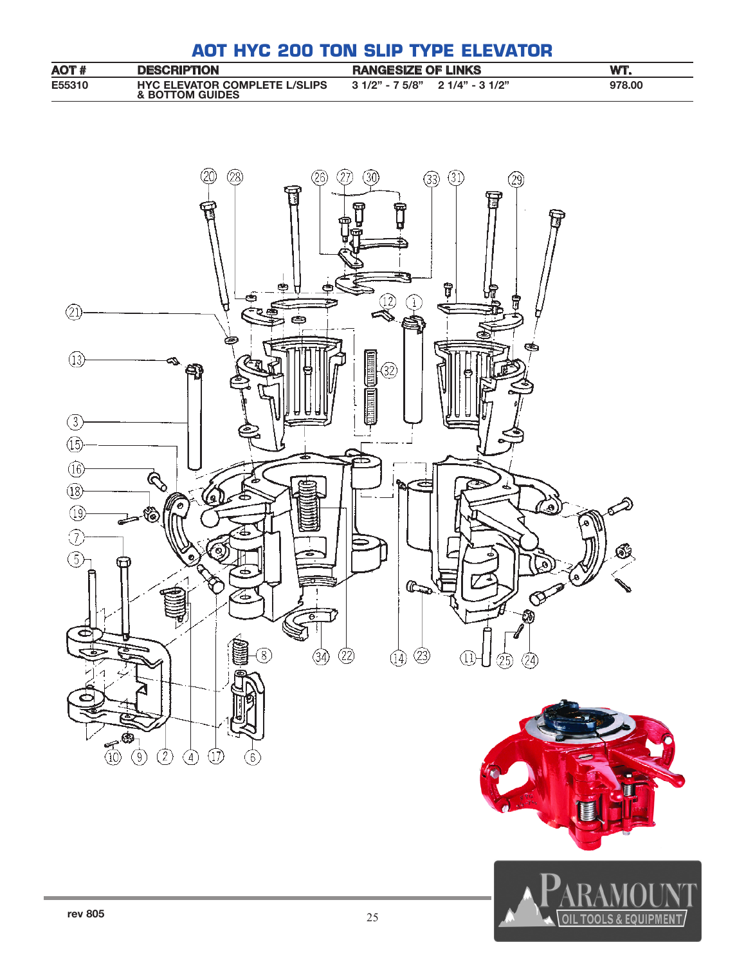# **AOT HYC 200 TON SLIP TYPE ELEVATOR**

| AOT #         | <b>DESCRIPTION</b>                                      | <b>RANGESIZE OF LINKS</b>        | WT.    |
|---------------|---------------------------------------------------------|----------------------------------|--------|
| <b>E55310</b> | <b>HYC ELEVATOR COMPLETE L/SLIPS</b><br>& BOTTOM GUIDES | $31/2" - 75/8"$ 2 $1/4" - 31/2"$ | 978,00 |

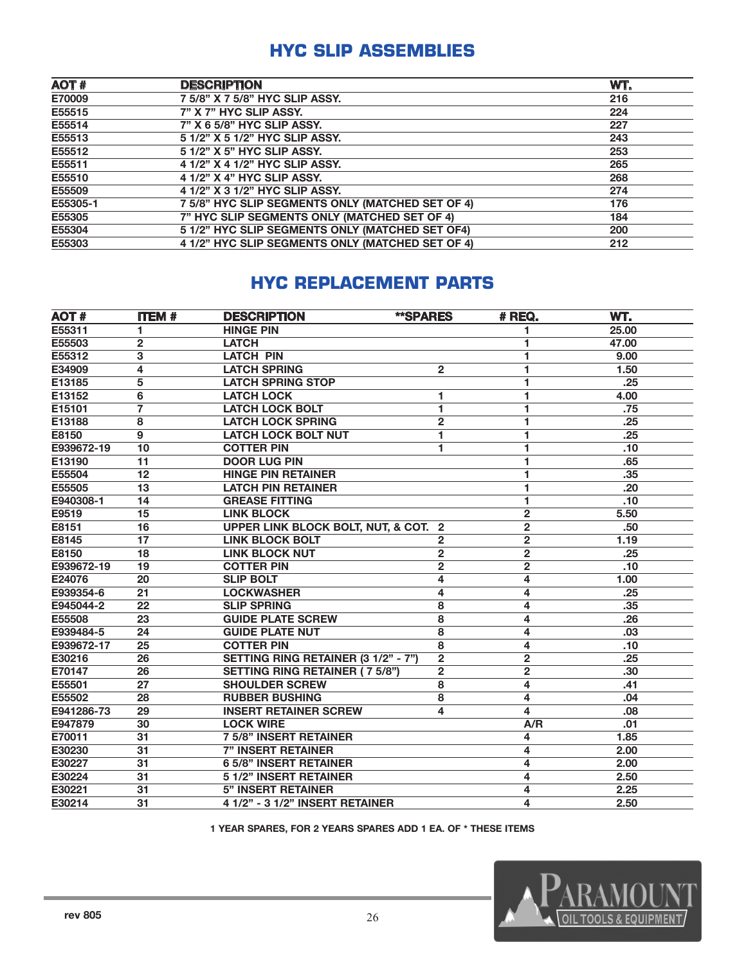#### **HYC SLIP ASSEMBLIES**

| AOT#     | <b>DESCRIPTION</b>                               | WT. |
|----------|--------------------------------------------------|-----|
| E70009   | 7 5/8" X 7 5/8" HYC SLIP ASSY.                   | 216 |
| E55515   | 7" X 7" HYC SLIP ASSY.                           | 224 |
| E55514   | 7" X 6 5/8" HYC SLIP ASSY.                       | 227 |
| E55513   | 5 1/2" X 5 1/2" HYC SLIP ASSY.                   | 243 |
| E55512   | 5 1/2" X 5" HYC SLIP ASSY.                       | 253 |
| E55511   | 4 1/2" X 4 1/2" HYC SLIP ASSY.                   | 265 |
| E55510   | 4 1/2" X 4" HYC SLIP ASSY.                       | 268 |
| E55509   | 4 1/2" X 3 1/2" HYC SLIP ASSY.                   | 274 |
| E55305-1 | 7 5/8" HYC SLIP SEGMENTS ONLY (MATCHED SET OF 4) | 176 |
| E55305   | 7" HYC SLIP SEGMENTS ONLY (MATCHED SET OF 4)     | 184 |
| E55304   | 5 1/2" HYC SLIP SEGMENTS ONLY (MATCHED SET OF4)  | 200 |
| E55303   | 4 1/2" HYC SLIP SEGMENTS ONLY (MATCHED SET OF 4) | 212 |

## **HYC REPLACEMENT PARTS**

| <b>AOT#</b> | <b>ITEM#</b> | <b>DESCRIPTION</b>                    | **SPARES                | # REQ.                  | WT.   |
|-------------|--------------|---------------------------------------|-------------------------|-------------------------|-------|
| E55311      | 1            | <b>HINGE PIN</b>                      |                         | 1                       | 25.00 |
| E55503      | $\mathbf{2}$ | <b>LATCH</b>                          |                         | 1                       | 47.00 |
| E55312      | 3            | <b>LATCH PIN</b>                      |                         | 1                       | 9.00  |
| E34909      | 4            | <b>LATCH SPRING</b>                   | $\overline{2}$          | 1                       | 1.50  |
| E13185      | 5            | <b>LATCH SPRING STOP</b>              |                         | 1                       | .25   |
| E13152      | 6            | <b>LATCH LOCK</b>                     | 1                       | 1                       | 4.00  |
| E15101      | 7            | <b>LATCH LOCK BOLT</b>                | 1                       | 1                       | .75   |
| E13188      | 8            | <b>LATCH LOCK SPRING</b>              | $\overline{\mathbf{c}}$ | 1                       | .25   |
| E8150       | 9            | <b>LATCH LOCK BOLT NUT</b>            | 1                       | 1                       | .25   |
| E939672-19  | 10           | <b>COTTER PIN</b>                     | 1                       | 1                       | .10   |
| E13190      | 11           | <b>DOOR LUG PIN</b>                   |                         | 1                       | .65   |
| E55504      | 12           | <b>HINGE PIN RETAINER</b>             |                         | 1                       | .35   |
| E55505      | 13           | <b>LATCH PIN RETAINER</b>             |                         | 1                       | .20   |
| E940308-1   | 14           | <b>GREASE FITTING</b>                 |                         | 1                       | .10   |
| E9519       | 15           | <b>LINK BLOCK</b>                     |                         | $\overline{\mathbf{c}}$ | 5.50  |
| E8151       | 16           | UPPER LINK BLOCK BOLT, NUT, & COT.    | $\overline{2}$          | $\overline{2}$          | .50   |
| E8145       | 17           | <b>LINK BLOCK BOLT</b>                | $\mathbf{2}$            | $\overline{\mathbf{c}}$ | 1.19  |
| E8150       | 18           | <b>LINK BLOCK NUT</b>                 | $\overline{\mathbf{c}}$ | $\overline{\mathbf{c}}$ | .25   |
| E939672-19  | 19           | <b>COTTER PIN</b>                     | $\mathbf{2}$            | $\mathbf{2}$            | .10   |
| E24076      | 20           | <b>SLIP BOLT</b>                      | 4                       | 4                       | 1.00  |
| E939354-6   | 21           | <b>LOCKWASHER</b>                     | 4                       | 4                       | .25   |
| E945044-2   | 22           | <b>SLIP SPRING</b>                    | 8                       | 4                       | .35   |
| E55508      | 23           | <b>GUIDE PLATE SCREW</b>              | 8                       | 4                       | .26   |
| E939484-5   | 24           | <b>GUIDE PLATE NUT</b>                | 8                       | 4                       | .03   |
| E939672-17  | 25           | <b>COTTER PIN</b>                     | 8                       | 4                       | .10   |
| E30216      | 26           | SETTING RING RETAINER (3 1/2" - 7")   | $\mathbf{2}$            | $\overline{2}$          | .25   |
| E70147      | 26           | <b>SETTING RING RETAINER (7 5/8")</b> | $\mathbf{2}$            | $\overline{\mathbf{c}}$ | .30   |
| E55501      | 27           | <b>SHOULDER SCREW</b>                 | 8                       | 4                       | .41   |
| E55502      | 28           | <b>RUBBER BUSHING</b>                 | 8                       | 4                       | .04   |
| E941286-73  | 29           | <b>INSERT RETAINER SCREW</b>          | 4                       | 4                       | .08   |
| E947879     | 30           | <b>LOCK WIRE</b>                      |                         | A/R                     | .01   |
| E70011      | 31           | <b>7 5/8" INSERT RETAINER</b>         |                         | 4                       | 1.85  |
| E30230      | 31           | <b>7" INSERT RETAINER</b>             |                         | 4                       | 2.00  |
| E30227      | 31           | <b>6 5/8" INSERT RETAINER</b>         |                         | 4                       | 2.00  |
| E30224      | 31           | 5 1/2" INSERT RETAINER                |                         | 4                       | 2.50  |
| E30221      | 31           | <b>5" INSERT RETAINER</b>             |                         | 4                       | 2.25  |
| E30214      | 31           | 4 1/2" - 3 1/2" INSERT RETAINER       |                         | 4                       | 2.50  |

1 YEAR SPARES, FOR 2 YEARS SPARES ADD 1 EA. OF \* THESE ITEMS